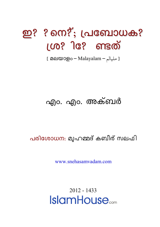# ഇ? ? നെ?്; പ്രബോധക?  $100$ ?ിേ ണ്ടത്

[ مليالم – Malayalam ] [ مليالم

## എം. എം. അക്ബർ

#### പരിശോധന: മുഹമ്മദ് കബീര് സലഫി

www snehasamyadam com

 $2012 - 1433$ **IslamHouse**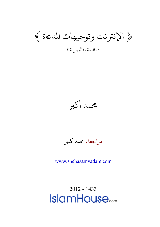﴿ الإنترنت وتوجيهات للدعاة ﴾

« للغة املايلبار�ة»

محمد أكبر

مراجعة: محمد كبير

[www.snehasamvadam.com](http://www.snehasamvadam.com/)

[2012 -](http://www.islamhouse.com/) 1433**IslamHouse**.com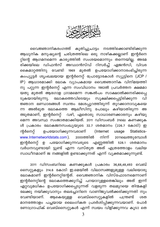

വൈജ്ഞാനികരംഗത്ത് കുതിച്ചുചാട്ടം നടത്തിക്കൊണ്ടിരിക്കുന്ന ആധുനിക മനുഷ്യന്റെ ചരിത്രത്തിലെ ഒരു നാഴികക്കല്ലാണ് ഇന്റർനെ റ്റിന്റെ ആഗമനമെന്ന കാര്യത്തിൽ സംശയമൊന്നും തന്നെയില്ല. അമേ .<br>രിക്കയിലെ ഡിഫൻസ് അഡ്വാൻസ്ഡ് റിസർച്ച് ഏജൻസി, വിവര കൈമാറ്റത്തിനു വേണ്ടി മുതൽ ഉപയോഗിക്കാനാരംഭിച്ചിരുന്ന 1969 കംപ്യൂട്ടർ ശൃംഖലയായ ഇന്റർനെറ്റ് പ്രോട്ടോകോൾ സ്യൂട്ടിനെ (JCP / IP) ആധാരമാക്കി ലോക വ്യാപകമായ വൈജ്ഞാനിക വിനിമയത്തി നു പറ്റുന്ന ഇന്റർനെറ്റ് എന്ന സംവിധാനം 1982ൽ പ്രവർത്തന ക്ഷമമാ യതു മുതൽ ആഗോള ഗ്രാമമെന്ന സങ്കൽപം സാക്ഷാൽക്കനരിക്കപ്പെ ടുകയായിരുന്നു. ലോകത്തെവിടെയും സൂക്ഷിക്കപ്പെട്ടിരിക്കുന്ന വി ജ്ഞാന ഭണ്ഡാരങ്ങൾ സ്വന്തം മേശപ്പുറത്തിരുന്ന് തുറക്കാനാവുകയെ .<br>ന്ന അൽഭുത ലോകത്തെ ആലീസിനു പോലും കഴിയാതിരുന്ന അ .<br>അ്മതമാണ്, ഇന്റർനെറ്റ് വഴി, ഏതൊരു സാധാരണക്കാരനും കഴിയു .<br>മെന്ന അവസ്ഥ സംജാതമാക്കിയത്. 2011 ഡിസംബർ 31ലെ കണക്കുക ൾ പ്രകാരം ലോകജനസംഖ്യയുടെ 32.7 ശതമാനം (226.7 കോടി) ഇ ഉപയോഗിക്കുന്നവരാണ് ന്റർനെറ്റ് (Internet usage Statisticswww.Internetworldstats.com). 2000ത്തിൽ നിന്ന് 2011ലെത്തുമ്പോൾ ഇന്റർനെറ്റ് ഉ പയോഗിക്കുന്നവരുടെ എണ്ണത്തിൽ 528.1 ശതമാനം വർധനവുണ്ടായി ട്ടുണ്ട് എന്ന വസ്തുത അത് എത്രത്തോളം വലിയ സ്വാധീനമാണ് ജ നങ്ങളിൽ ഉണ്ടാക്കുന്നത് എന്ന് വ്യക്തമാക്കുന്നുണ്ട്.

2011 ഡിസംബറിലെ കണക്കുകൾ പ്രകാരം 36,68,48,493 വെബ് സൈറ്റുകളും 314.6 കോടി ഇ.മെയിൽ വിലാസങ്ങളുമുള്ള വലിയൊരു ലോകമാണ് ഇന്റർനെറ്റിന്റേത്. വൈജ്ഞാനിക വിസ്ഫോടനമെന്നാണ് ഇന്റർനെറ്റിന്റെ ലോകത്തെക്കുറിച്ച് പറയാറുള്ളതെങ്കിലും അത് ഇന്ന് ഏറ്റവുമധികം ഉപയോഗിക്കപ്പെടുന്നത് വളരുന്ന തലമുറയെ തിന്മകളി ലേക്കു നയിക്കുവാനും തലച്ചോറിനെ വാണിജ്യവൽക്കരിക്കുന്നതി നും വെബ്സൈറ്റുകളിൽ പന്ത്രണ്ട് ശത വേണ്ടിയാണ്. ആകെയുള്ള മാനത്തോളം പച്ചയായ ലൈംഗികത പ്രദർശിപ്പിക്കുന്നവയാണ്. പോർ ണോഗ്രാഫിക് വെബ്സൈറ്റുകൾ എന്ന് സ്വയം വിളിക്കുന്നവ കൂടാ തെ

 $\mathbf{3}$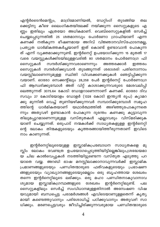എന്റർടൈൻമെന്റും, മാട്രിമോണിയൽ, ഡേറ്റിംഗ് തുടങ്ങിയ തല ക്കെട്ടിനു കീഴെ ലൈംഗികതയിലേക്ക് നയിക്കുന്ന സൈറ്റുകളുടെ എ ണ്ണം ഇതിലും എത്രയോ അധികമാണ്. വെബ്സൈറ്റുകളിൽ സേർച്ച് ചെയ്യപ്പെടുന്നതിൽ 25 ശതമാനവും പോർണോ ഗ്രാഫിയാണ് എന്ന കണക്ക് നൽകുന്ന ഭീഷണമായ അറിവ് വിജ്ഞാനവിസ്ഫോടനമല്ല, പ്രത്യുത ധാർമികത്തകർച്ചയാണ് ഇത് കൊണ്ട് ഉണ്ടാവാൻ പോകുന്ന ത് എന്ന് വ്യക്തമാക്കുന്നുണ്ട്. ഇന്റർനെറ്റ് ഉപയോഗിക്കുന്ന 15 മുതൽ 17 വരെ വയസ്സുകൾക്കിടയിലുള്ളവരിൽ 80 ശതമാനം പോർണോഗ്ര ഫി സൈറ്റുകൾ സന്ദർശിക്കുന്നവരാണെന്നും അത്തരക്കാർ ഇത്തരം സൈറ്റുകൾ സന്ദർശിക്കുവാൻ തുടങ്ങുന്നത് ശരാശരി പതിനൊന്നാം വയസ്സിലാണെന്നുമുള്ള സ്ഥിതി വിവരക്കണക്കുകൾ ഞെട്ടിപ്പിക്കുന്ന വയാണ്. ഓരോ സെക്കന്റിലും 28,258 പേർ ഇന്റർനെറ്റ് പോർണോഗ്ര ഫി ആസ്വദിക്കുമ്പോൾ അത് വിറ്റ് കാശാക്കുന്നവരുടെ മേശവലിപ്പി ലെത്തുന്നത് 3075.64 കോടി ഡോളറാണെന്നാണ് കണക്ക്. ഓരോ ദിവ സവും 27 കോടിയോളം ഡോളർ (1328 കോടി ഇന്ത്യൻ രൂപ) ക്യാമറ ക്കു മുന്നിൽ വെച്ച് തുണിയഴിക്കുന്നവർ സമ്പാദിക്കുമ്പോൾ സമൂഹ ത്തിന്റെ ധാർമികതയാണ് യഥാർത്ഥത്തിൽ അഴിഞ്ഞുപോകുന്നതെ ന്നും അതുവഴി ഉണ്ടാകാൻ പോകുന്ന ദുരന്തം കണക്കു കൂട്ടാവുന്ന തിലുമപ്പുറമാണെന്നുമുള്ള വസ്തുതകൾ എല്ലാവരും വിസ്മരിക്കുക യാണ് ചെയ്യുന്നത്. ഒരുപാട് നന്മകൾക്ക് സാധ്യതകളുള്ള ഇന്റർനെറ്റി ന്റെ ലോകം തിന്മകളുടെയും കൂത്തരങ്ങായിത്തീരുന്നതാണ് ഇവിടെ നാം കാണുന്നത്.

ഇന്റർനെറ്റിലൂടെയുള്ള ഇസ്ലാമികപ്രബോധന സാധ്യതകളെ മു സ്സിം ലോകം വേണ്ടത്ര ഉപയോഗപ്പെടുത്തിയിട്ടില്ലെങ്കിലും,ശ്രദ്ധേയമാ യ ചില കാൽവെപ്പുകൾ നടത്തിയിട്ടുണ്ടെന്ന വസ്തുത എടുത്തു പറ യാതെ വയ്യ. അറബി ഭാഷ മനസ്സിലാക്കാനാവുന്നവർക്ക് ഇസ്ലാമിക പ്രമാണങ്ങളുടെയും പണ്ഡിതന്മാരുടെ ഫത്വകളുടെയും പ്രഭാഷണ ങ്ങളുടെയും വ്യാഖ്യാനങ്ങളുടെയുമെല്ലാം ഒരു ബൃഹത്തായ ശേഖരം തന്നെ ഇന്റർനെറ്റിലൂടെ ലഭിക്കും. ഒരു മഹാ പണ്ഡിതനാകുവാനാവ ശ്യമായ ഇസ്ലാമികഗ്രന്ഥങ്ങളുടെ ശേഖരം ഇന്റർനെറ്റിലുണ്ട്. പല സൈറ്റുകളിലും സെർച്ച് സംവിധാനമുള്ളതിനാൽ അന്വേഷണ വിഷ യവുമായി ബന്ധപ്പെട്ട പരാമർശങ്ങൾ എവിടെയാണുള്ളതെന്ന് കൃത്യ മായി കണ്ടെത്തുവാനും പരിശോധിച്ച് പഠിക്കുവാനും അതുവഴി സാ ധിക്കും. മരണപ്പെട്ടവരും ജീവിച്ചിരിക്കുന്നവരുമായ പണ്ഡിതന്മാരുടെ

 $\overline{4}$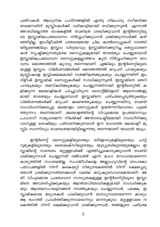ഫത്വകൾ, ആധുനിക പ്രശ്നങ്ങളിൽ എന്തു നിലപാടു സ്വീകരിക്ക ണമെന്നതിന് മുസ്ലിംകൾക്ക് വഴികാട്ടിയായി ഭവിക്കുന്നുണ്ട്. എന്നാൽ അറബിയല്ലാത്ത ഭാഷകളിൽ വേണ്ടത്ര ശ്രദ്ധിക്കുവാൻ ഇന്റർനെറ്റിലൂ ടെ ഇസ്ലാമികപ്രബോധനം നിർവ്വഹിക്കുവാൻ ശ്രമിക്കുന്നവർക്ക് കഴി ഞ്ഞിട്ടില്ല. ഇംഗ്ളീഷിൽ ശ്രദ്ധേയമായ ചില കാൽവെപ്പുകൾ നടത്തി യിട്ടുണ്ടെങ്കിലും ഇസ്ലാം വിരുദ്ധവും ഇസ്ലാമിനെക്കുറിച്ച തെറ്റുധാരണ കൾ സൃഷ്ടിക്കുന്നതുമായ സൈറ്റുകളുമായി താരതമ്യം ചെയ്യുമ്പോൾ ഇസ്ലാമികപ്രബോധന സൈറ്റുകളല്ലാത്തവ കൂടി നിർവ്വഹിക്കുന്ന സേ വനം മൊത്തത്തിൽ കുറവു തന്നെയാണ്. എങ്കിലും ഇന്റർനെറ്റിലൂടെ യുള്ള ഇസ്ലാം വിമർശനങ്ങൾക്ക് മൊത്തത്തിൽ മറുപടി പറയുകയും മുസ്ലിംകളെ ഇവ്വിഷയകമായി സജ്ജീകരിക്കുകയും ചെയ്യുന്നതിന് ഇം ഗ്ളീഷ് ഇസ്ലാമിക് സൈറ്റുകൾക്ക് സാധിക്കുന്നുണ്ട്. ഇസ്ലാമിനെ തെറി പറയുകയും തമസ്കരിക്കുകയും ചെയ്യുന്നതിനായി ഇന്റർനെറ്റിൽ ക ളിക്കുന്ന മലയാളികൾ പടച്ചുവിടുന്ന സൈറ്റ്ബ്ളോഗ് ആഭാസങ്ങളു മായി താരതമ്യം ചെയ്യുമ്പോൾ ഇസ്ലാമിനെ പരിചയപ്പെടുത്തുകയും വിമർശനങ്ങൾക്ക് മറുപടി കണ്ടെത്തുകയും ചെയ്യുന്നതിനു വേണ്ടി സംവിധാനിക്കപ്പെട്ട മലയാളം സൈറ്റുകൾ ഉയർന്നനിലവാരം പുലർ ത്തുന്നവ തന്നെയാണ്. മലയാളത്തിന്റെ വിപുലമായ ഉപയോഗവും പ്രവാസീ സമൂഹമെന്ന നിലയ്ക്ക് അന്താരാഷ്ട്രീയമായി സ്വാധീനിക്കു വാനുള്ള ശേഷിയും പരിഗണിക്കുമ്പോൾ ഈ രംഗത്തെ മലയാളീ മു സ്ലിം സാന്നിധ്യം വേണ്ടത്രയായിട്ടില്ലെന്നതു തന്നെയാണ് യാഥാർ ത്ഥ്യം.

ഇന്റർനെറ്റ് സൈറ്റുകളിലൂടെയും ബ്ളോഗുകളിലൂടെയും ചാറ്റ് റൂമുകളിലൂടെയും ബൈലക്സിലൂടെയും യൂട്യൂബിലൂടെയുമെല്ലാം ഇ സ്ലാമിന്റെ സന്ദേശം മറ്റുള്ളവർക്ക് എത്തിച്ചുകൊടുക്കുവാൻ വേണ്ടി ശ്രമിക്കുന്നവർ ചെയ്യുന്നത് ദഅ്വത്ത് എന്ന മഹാ സേവനമാണെന്ന കാര്യത്തിൽ സംശയമില്ല. സഹജീവികളെ അല്ലാഹുവിന്റെ ശാപകോ പതാപങ്ങളിൽ നിന്ന് കരകയറ്റി നിത്യനരകത്തിൽ നിന്ന് രക്ഷപ്പെടു ത്താൻ ശ്രമിക്കുന്നതിനേക്കാൾ വലിയ മനുഷ്യസേവനമെന്താണ്! അ തി വിപുലമായ പ്രബോധന സാധ്യതകളുള്ള ഇന്റർനിെറ്റിലൂടെ ഇസ്ലാ മിനെ അവതരിപ്പിക്കുകയും ആദർശവിരോധികളുമായി സംവദിക്കുക യും ആശയസംഘട്ടനങ്ങൾ നടത്തുകയും ചെയ്യുന്നവർ, പക്ഷെ, ഇ സ്ലാമികമായ മര്യാദകൾ പാലിക്കുവാൻ ബാധ്യസ്ഥരാണെന്ന കാര്യം ആ രംഗത്ത് പ്രവർത്തിക്കുന്നവരൊന്നും മറന്നുകൂടാ. മറ്റുള്ളവരെ ന രകത്തിൽ നിന്ന് രക്ഷിക്കുവാൻ ശ്രമിക്കുന്നവർ, തങ്ങളുടെ പരിശ്രമ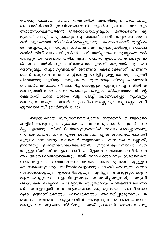ത്തിന്റെ ഫലമായി സ്വയം നരകത്തിൽ ആപതിക്കുന്ന അവസ്ഥയു ണ്ടാവാതിരിക്കാൻ ശ്രദ്ധിക്കേണ്ടതുണ്ട്. ആദർശ പ്രബോധനരംഗവും ആശയസംഘട്ടനത്തിന്റെ രീതിശാസ്ത്രവുമെല്ലാം എന്താണെന്ന് കൃ ത്യമായി പഠിപ്പിക്കപ്പെടുകയും ആ രംഗത്ത് പാലിക്കപ്പെടേണ്ട മര്യാദ കൾ വൃക്തമായി നിഷ്കർഷിക്കപ്പെടുകയും ചെയ്തവരാണ് മുസ്ലി<mark>ം</mark>ക ൾ. അല്ലാഹുവും റസൂലും പഠിപ്പിക്കാത്ത കുറുക്കുവഴികളും പ്രവാച കനിൽ നിന്ന് മതം പഠിച്ചവർക്ക് പരിചയമില്ലാത്ത മാന്യമല്ലാത്ത മാർ ഗങ്ങളും മതപ്രബോധനത്തിന് എന്ന പേരിൽ ഉപയോഗിക്കപ്പെടുമ്പോ ൾ അവ ധാർമികവും സ്വീകാര്യവുമാകുമെന്ന് കരുതാൻ ന്യായങ്ങ ളൊന്നുമില്ല. അല്ലാഹുവിലേക്ക് ജനങ്ങളെ ക്ഷണിക്കേണ്ടത് എങ്ങനെ യെന്ന് അല്ലാഹു തന്നെ മുസ്ലിംകളെ പഠിപ്പിച്ചിട്ടുള്ളതാണല്ലോ.'യുക്തി ദീക്ഷയോടു കൂടിയും, സദുപദേശം മുഖേനയും നിന്റെ രക്ഷിതാവി ന്റെ മാർഗത്തിലേക്ക് നീ ക്ഷണിച്ച് കൊള്ളുക. ഏറ്റവും നല്ല രീതിയി ൽ അവരുമായി സംവാദം നടത്തുകയും ചെയ്യുക. തീർച്ചയായും നി ന്റെ രക്ഷിതാവ് തന്റെ മാർഗം വിട്ട് പിഴച്ച് പോയവരെപ്പറ്റി നല്ലവണ്ണം അറിയുന്നവനത്രെ. സന്മാർഗം പ്രാപിച്ചവരെപ്പറ്റിയും നല്ലവണ്ണം അറി യുന്നവനത്രെ." (ഖുർആൻ 16:125)

ബൗദ്ധികമായ സത്യസന്ധതയില്ലായ്മ ഇന്റർനെറ്റ് ഉപയോക്താ ക്കളിൽ കണ്ടുവരുന്ന വ്യാപകമായ ഒരു അസുഖമാണ്. 'ഗൂഗിൾ' സെ ർച്ച് എഞ്ചിനും വിക്കിപീഡിയയുമുണ്ടെങ്കിൽ സ്വന്തം മേശപ്പുറത്തിരു ന്ന്, കസേരയിൽ നിന്ന് എഴുന്നേൽക്കാതെ ഏതു ശാസ്ത്രവിഷയത്തി ലുമുള്ള ഗവേഷണപ്രബന്ധങ്ങൾ തയ്യാറാക്കാം എന്ന ഒരു ചൊല്ലുണ്ട്, ഇന്റർനെറ്റ് ഉപയോക്താക്കൾക്കിടയിൽ. ഇസ്ലാമികപ്രബോധന രംഗ ത്തുള്ളവർക്ക് തീരെ ഉണ്ടാവാൻ പാടില്ലാത്ത സുഖക്കേടാണിത്. സ്വ ന്തം ആദർശമെന്താണെങ്കിലും അത് സ്ഥാപിക്കുവാനും സമർത്ഥിക്കു വാനുമെല്ലാം ഓരോരുത്തർക്കും അവകാശമുണ്ട്. എന്നാൽ മറ്റുള്ളവ രെ ഇകഴ്ത്തുവാനും താഴ്ത്തിക്കെട്ടുവാനും വേണ്ടി അവരുടെ തന്നെ സംസാരങ്ങളെയും ഉദ്ധരണികളെയും മുറിച്ചും തങ്ങളുദ്ദേശിക്കുന്ന ആശയങ്ങളുമായി വിളക്കിച്ചേർത്തും അവതരിപ്പിക്കുന്നത്, സതൃവി ശ്വാസികൾ ചെയ്യാൻ പാടില്ലാത്ത ഗുരുതരമായ പാതകങ്ങളിലൊന്നാ ണ്. തങ്ങളുദ്ദേശിക്കുന്ന ആശയങ്ങൾക്കനുസൃതമായി പണ്ഡിതന്മാാ രുടെ ഉദ്ധരണികളെയും ഫത്വകളെയും അവതരിപ്പിക്കുന്നതും ത ഥൈവ. അങ്ങനെ ചെയ്യുന്നവരിൽ കണ്ടുവരുന്ന പ്രവണതയിതാണ്. ആദ്യം ഒരു ആശയം നിർമിക്കുക; അത് പ്രാമാണികമാണെന്ന് വരു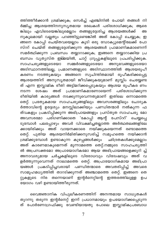ത്തിത്തീർക്കാൻ ശ്രമിക്കുക; സെർച്ച് എഞ്ചിനിൽ പോയി തങ്ങൾ നി ർമ്മിച്ച ആശയത്തിനനുസൃതമായ രേഖകൾ പരിശോധിക്കുക; ആരെ ങ്കിലും എവിടെയെങ്കിലുമെല്ലാം തങ്ങളുദ്ദേശിച്ച ആശയങ്ങൾക്ക് അ നുകൂലമായി വല്ലതും പറഞ്ഞിട്ടുണ്ടെങ്കിൽ അത് കോപ്പി ചെയ്യുക; ഇ ങ്ങനെ കോപ്പി ചെയ്തവയെല്ലാം കൂടി ഒരു ഡോക്യുമെന്റിലേക്ക് പോ സ്ററ് ചെയ്ത് തങ്ങളുദ്ദേശിക്കുന്ന ആശയങ്ങൾ പ്രാമാണികമാണെന്ന് സമർത്ഥിക്കുന്ന പ്രബന്ധം തയ്യാറാക്കുക; ഇങ്ങനെ തയ്യാറാക്കിയ പ്ര ബന്ധം വ്യത്യസ്ത ഇമ്മയിൽ, ചാറ്റ് ഗ്രൂപ്പുകളിലൂടെ പ്രചരിപ്പിക്കുക. സാഹചര്യങ്ങളുടെയോ സമ്മർദങ്ങളുടെയോ അനുഭവങ്ങളുടെയോ അടിസ്ഥാനത്തിലല്ല, പ്രമാണങ്ങളുടെ അടിസ്ഥാനത്തിൽ ആശയരൂപീ കരണം നടത്തുകയും അങ്ങനെ സുചിന്തിതമായി രൂപീകരിക്കപ്പെട്ട ....<br>ആശയത്തിന് അനുസൃതമായി ജീവിക്കുകയുമാണ് മുസ്ലിം ചെയ്യേണ്ട ത് എന്ന ഇസ്ലാമിക രീതി അട്ടിമറിക്കപ്പെടുകയും ആശയ രൂപീകര ണം നടന്ന ശേഷം അത് പ്രാമാണികമാണോയെന്ന് പരിശോധിക്കുന്ന രീതിയിൽ കാര്യങ്ങൾ നടക്കുന്നുവെന്നതുമാണ് ഇതിലെ ഒന്നാമത്തെ തെറ്റ്. പ്രത്യേകമായ സാഹചര്യങ്ങളിലും അവസരങ്ങളിലും ചോദ്യക ർത്താവിന്റെ ഉദ്ദേശ്യം മനസ്സിലാക്കിയും പണ്ഡിതന്മാർ നൽകുന്ന ഫ ത്വകളും പ്രകടിപ്പിക്കുന്ന അഭിപ്രായങ്ങളും പ്രസ്തുത സാഹചര്യ മോ അവസരമോ പരിഗണിക്കാതെ 'കോപ്പി ആന്റ് പേസ്ററ്' ചെയ്യപ്പെ ടുമ്പോൾ പലപ്പോഴും അവർ വിവക്ഷിച്ചതല്ലാത്ത അർത്ഥതലങ്ങളിലേ ക്കായിരിക്കും അത് വായനക്കാരെ നയിക്കുകയെന്നത് രണ്ടാമത്തെ തെറ്റ്. പുതിയ ആശയനിർമിതിക്കനുസരിച്ച് സമൂഹത്തെ നയിക്കാൻ ശ്രമിക്കുമ്പോൾ ഉണ്ടാകുന്ന കുഴപ്പങ്ങൾക്കും ഛിദ്രതകൾക്കുമെല്ലാം അത് കാരണമാകുമെന്നത് മൂന്നാമത്തെ തെറ്റ്.നമ്മുടെ സാഹചര്യത്തി ൽ അപ്രസക്തമോ അപ്രായോഗികമോ ആയ അഭിപ്രായങ്ങളെക്കുറി ച്ച് അനാവശ്യമായ ചർച്ചകളിലൂടെ വിരോധവും വിദേഃഷവും അത് വ ളർത്തുന്നുവെന്നത് നാലാമത്തെ തെറ്റ്. അപ്രായോഗികമായ അഭിപ്രാ യങ്ങൾ പ്രകടിപ്പിച്ചവരായി പണ്ഡിതന്മാരെ അവതരിപ്പിച്ച് അവരെ സാമൂഹമധ്യത്തിൽ താറടിക്കുന്നത് അഞ്ചാമത്തെ തെറ്റ്. ഇങ്ങനെ തെ റ്റുകളുടെ നിര തന്നെയാണ് ഇന്റർനെറ്റിന്റെ ഇത്തരത്തിലുള്ള ഉപ .<br>യോഗം വഴി ഉണ്ടായിത്തീരുന്നത്.

വൈജ്ഞാനിക വിപുലീകരണത്തിന് അനന്തമായ സാധ്യതകൾ തുറന്നു തരുന്ന ഇന്റർനെറ്റ് ഇന്ന് പ്രധാനമായും ഉപയോഗിക്കപ്പെടുന്ന ത് പോർണോഗ്രഫിക്കു വേണ്ടിയായതു പോലെ ഇസ്ലാമികപ്രബോധ